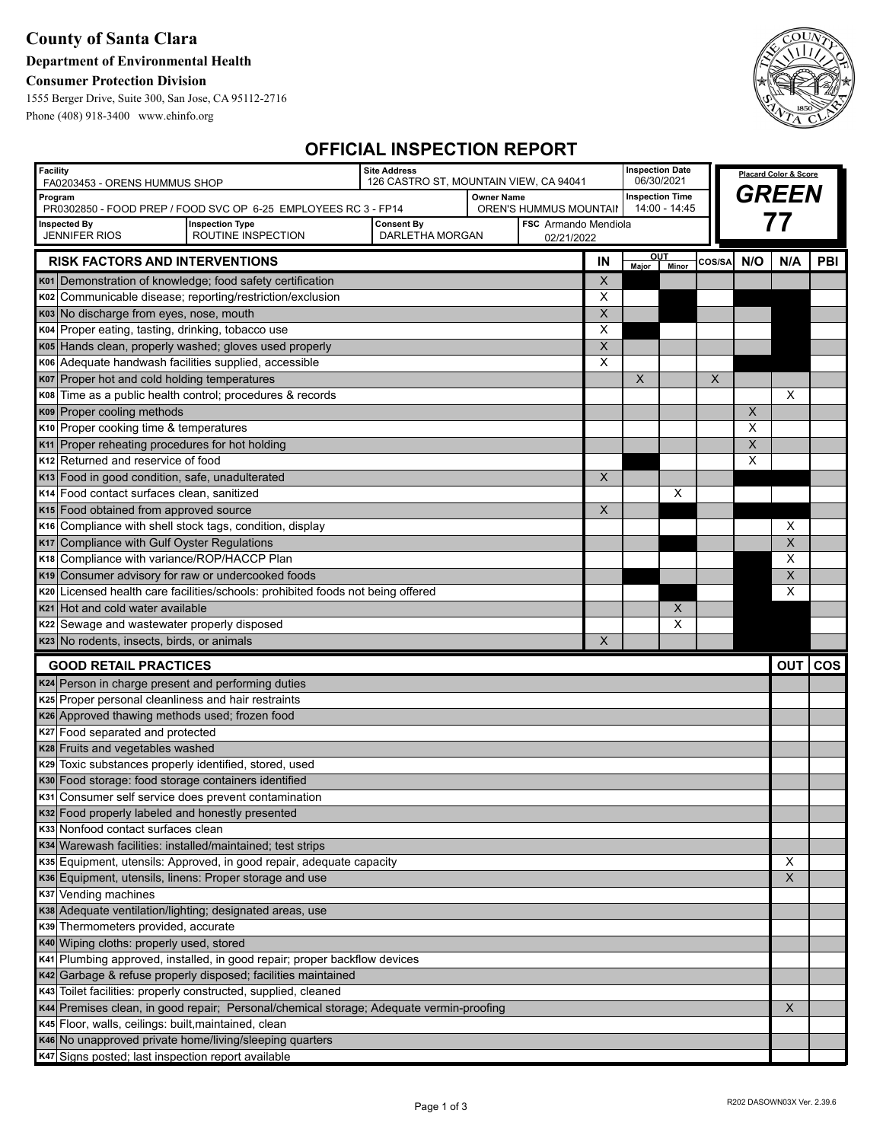## **County of Santa Clara**

### **Department of Environmental Health**

### **Consumer Protection Division**

1555 Berger Drive, Suite 300, San Jose, CA 95112-2716 Phone (408) 918-3400 www.ehinfo.org



## **OFFICIAL INSPECTION REPORT**

| <b>Facility</b><br>FA0203453 - ORENS HUMMUS SHOP<br>Program                            |                                                                                          | <b>Site Address</b><br>126 CASTRO ST, MOUNTAIN VIEW, CA 94041<br><b>Owner Name</b> |                                    |                        | <b>Inspection Date</b><br>06/30/2021<br><b>Inspection Time</b> |             |               | Placard Color & Score |                |                         |     |
|----------------------------------------------------------------------------------------|------------------------------------------------------------------------------------------|------------------------------------------------------------------------------------|------------------------------------|------------------------|----------------------------------------------------------------|-------------|---------------|-----------------------|----------------|-------------------------|-----|
|                                                                                        |                                                                                          |                                                                                    |                                    |                        |                                                                |             |               |                       | <b>GREEN</b>   |                         |     |
|                                                                                        | PR0302850 - FOOD PREP / FOOD SVC OP 6-25 EMPLOYEES RC 3 - FP14<br><b>Inspection Type</b> |                                                                                    |                                    | OREN'S HUMMUS MOUNTAII |                                                                |             | 14:00 - 14:45 |                       |                |                         |     |
| <b>Inspected By</b><br><b>JENNIFER RIOS</b>                                            | <b>Consent By</b><br>DARLETHA MORGAN                                                     |                                                                                    | FSC Armando Mendiola<br>02/21/2022 |                        |                                                                |             |               | 77                    |                |                         |     |
|                                                                                        | ROUTINE INSPECTION                                                                       |                                                                                    |                                    |                        |                                                                | OUT         |               |                       |                |                         |     |
| <b>RISK FACTORS AND INTERVENTIONS</b>                                                  |                                                                                          |                                                                                    |                                    |                        | IN                                                             | Major Minor |               | COS/SA                | N/O            | N/A                     | PBI |
|                                                                                        | K01 Demonstration of knowledge; food safety certification                                |                                                                                    |                                    |                        | X                                                              |             |               |                       |                |                         |     |
|                                                                                        | K02 Communicable disease; reporting/restriction/exclusion                                |                                                                                    |                                    |                        | Х                                                              |             |               |                       |                |                         |     |
| K03 No discharge from eyes, nose, mouth                                                |                                                                                          |                                                                                    |                                    |                        | X                                                              |             |               |                       |                |                         |     |
| K04 Proper eating, tasting, drinking, tobacco use                                      | K05 Hands clean, properly washed; gloves used properly                                   |                                                                                    |                                    |                        | X<br>$\pmb{\times}$                                            |             |               |                       |                |                         |     |
| K06 Adequate handwash facilities supplied, accessible                                  |                                                                                          |                                                                                    |                                    |                        | $\times$                                                       |             |               |                       |                |                         |     |
| K07 Proper hot and cold holding temperatures                                           |                                                                                          |                                                                                    |                                    |                        |                                                                | X           |               | $\times$              |                |                         |     |
|                                                                                        | K08 Time as a public health control; procedures & records                                |                                                                                    |                                    |                        |                                                                |             |               |                       |                | X                       |     |
| K09 Proper cooling methods                                                             |                                                                                          |                                                                                    |                                    |                        |                                                                |             |               |                       | $\overline{X}$ |                         |     |
| K10 Proper cooking time & temperatures                                                 |                                                                                          |                                                                                    |                                    |                        |                                                                |             |               |                       | X              |                         |     |
| K <sub>11</sub> Proper reheating procedures for hot holding                            |                                                                                          |                                                                                    |                                    |                        |                                                                |             |               |                       | X              |                         |     |
| K <sub>12</sub> Returned and reservice of food                                         |                                                                                          |                                                                                    |                                    |                        |                                                                |             |               |                       | X              |                         |     |
| K13 Food in good condition, safe, unadulterated                                        |                                                                                          |                                                                                    |                                    |                        | $\pmb{\times}$                                                 |             |               |                       |                |                         |     |
| K <sub>14</sub> Food contact surfaces clean, sanitized                                 |                                                                                          |                                                                                    |                                    |                        |                                                                |             | X             |                       |                |                         |     |
| K <sub>15</sub> Food obtained from approved source                                     |                                                                                          |                                                                                    |                                    |                        | X                                                              |             |               |                       |                |                         |     |
| K <sub>16</sub> Compliance with shell stock tags, condition, display                   |                                                                                          |                                                                                    |                                    |                        |                                                                |             |               |                       |                | Χ                       |     |
| K17 Compliance with Gulf Oyster Regulations                                            |                                                                                          |                                                                                    |                                    |                        |                                                                |             |               |                       |                | $\overline{\mathsf{x}}$ |     |
| K18 Compliance with variance/ROP/HACCP Plan                                            |                                                                                          |                                                                                    |                                    |                        |                                                                |             |               |                       |                | X                       |     |
| K19 Consumer advisory for raw or undercooked foods                                     |                                                                                          |                                                                                    |                                    |                        |                                                                |             |               |                       |                | X                       |     |
|                                                                                        | K20 Licensed health care facilities/schools: prohibited foods not being offered          |                                                                                    |                                    |                        |                                                                |             |               |                       |                | X                       |     |
| K21 Hot and cold water available                                                       |                                                                                          |                                                                                    |                                    |                        |                                                                |             | X             |                       |                |                         |     |
| K22 Sewage and wastewater properly disposed                                            |                                                                                          |                                                                                    |                                    |                        |                                                                |             | X             |                       |                |                         |     |
| K23 No rodents, insects, birds, or animals                                             |                                                                                          |                                                                                    |                                    |                        | X                                                              |             |               |                       |                |                         |     |
| <b>GOOD RETAIL PRACTICES</b>                                                           |                                                                                          |                                                                                    |                                    |                        |                                                                |             |               |                       |                | OUT COS                 |     |
| K24 Person in charge present and performing duties                                     |                                                                                          |                                                                                    |                                    |                        |                                                                |             |               |                       |                |                         |     |
| K25 Proper personal cleanliness and hair restraints                                    |                                                                                          |                                                                                    |                                    |                        |                                                                |             |               |                       |                |                         |     |
| K26 Approved thawing methods used; frozen food                                         |                                                                                          |                                                                                    |                                    |                        |                                                                |             |               |                       |                |                         |     |
| K27 Food separated and protected                                                       |                                                                                          |                                                                                    |                                    |                        |                                                                |             |               |                       |                |                         |     |
| K28 Fruits and vegetables washed                                                       |                                                                                          |                                                                                    |                                    |                        |                                                                |             |               |                       |                |                         |     |
| K29 Toxic substances properly identified, stored, used                                 |                                                                                          |                                                                                    |                                    |                        |                                                                |             |               |                       |                |                         |     |
| K30 Food storage: food storage containers identified                                   |                                                                                          |                                                                                    |                                    |                        |                                                                |             |               |                       |                |                         |     |
| K31 Consumer self service does prevent contamination                                   |                                                                                          |                                                                                    |                                    |                        |                                                                |             |               |                       |                |                         |     |
| K32 Food properly labeled and honestly presented<br>K33 Nonfood contact surfaces clean |                                                                                          |                                                                                    |                                    |                        |                                                                |             |               |                       |                |                         |     |
| K34 Warewash facilities: installed/maintained; test strips                             |                                                                                          |                                                                                    |                                    |                        |                                                                |             |               |                       |                |                         |     |
|                                                                                        | K35 Equipment, utensils: Approved, in good repair, adequate capacity                     |                                                                                    |                                    |                        |                                                                |             |               |                       |                | X                       |     |
|                                                                                        | K36 Equipment, utensils, linens: Proper storage and use                                  |                                                                                    |                                    |                        |                                                                |             |               |                       |                | X                       |     |
| K37 Vending machines                                                                   |                                                                                          |                                                                                    |                                    |                        |                                                                |             |               |                       |                |                         |     |
|                                                                                        | K38 Adequate ventilation/lighting; designated areas, use                                 |                                                                                    |                                    |                        |                                                                |             |               |                       |                |                         |     |
| K39 Thermometers provided, accurate                                                    |                                                                                          |                                                                                    |                                    |                        |                                                                |             |               |                       |                |                         |     |
| K40 Wiping cloths: properly used, stored                                               |                                                                                          |                                                                                    |                                    |                        |                                                                |             |               |                       |                |                         |     |
|                                                                                        | K41 Plumbing approved, installed, in good repair; proper backflow devices                |                                                                                    |                                    |                        |                                                                |             |               |                       |                |                         |     |
|                                                                                        | K42 Garbage & refuse properly disposed; facilities maintained                            |                                                                                    |                                    |                        |                                                                |             |               |                       |                |                         |     |
|                                                                                        | K43 Toilet facilities: properly constructed, supplied, cleaned                           |                                                                                    |                                    |                        |                                                                |             |               |                       |                |                         |     |
|                                                                                        | K44 Premises clean, in good repair; Personal/chemical storage; Adequate vermin-proofing  |                                                                                    |                                    |                        |                                                                |             |               |                       |                | X                       |     |
| K45 Floor, walls, ceilings: built, maintained, clean                                   |                                                                                          |                                                                                    |                                    |                        |                                                                |             |               |                       |                |                         |     |
|                                                                                        | K46 No unapproved private home/living/sleeping quarters                                  |                                                                                    |                                    |                        |                                                                |             |               |                       |                |                         |     |
| K47 Signs posted; last inspection report available                                     |                                                                                          |                                                                                    |                                    |                        |                                                                |             |               |                       |                |                         |     |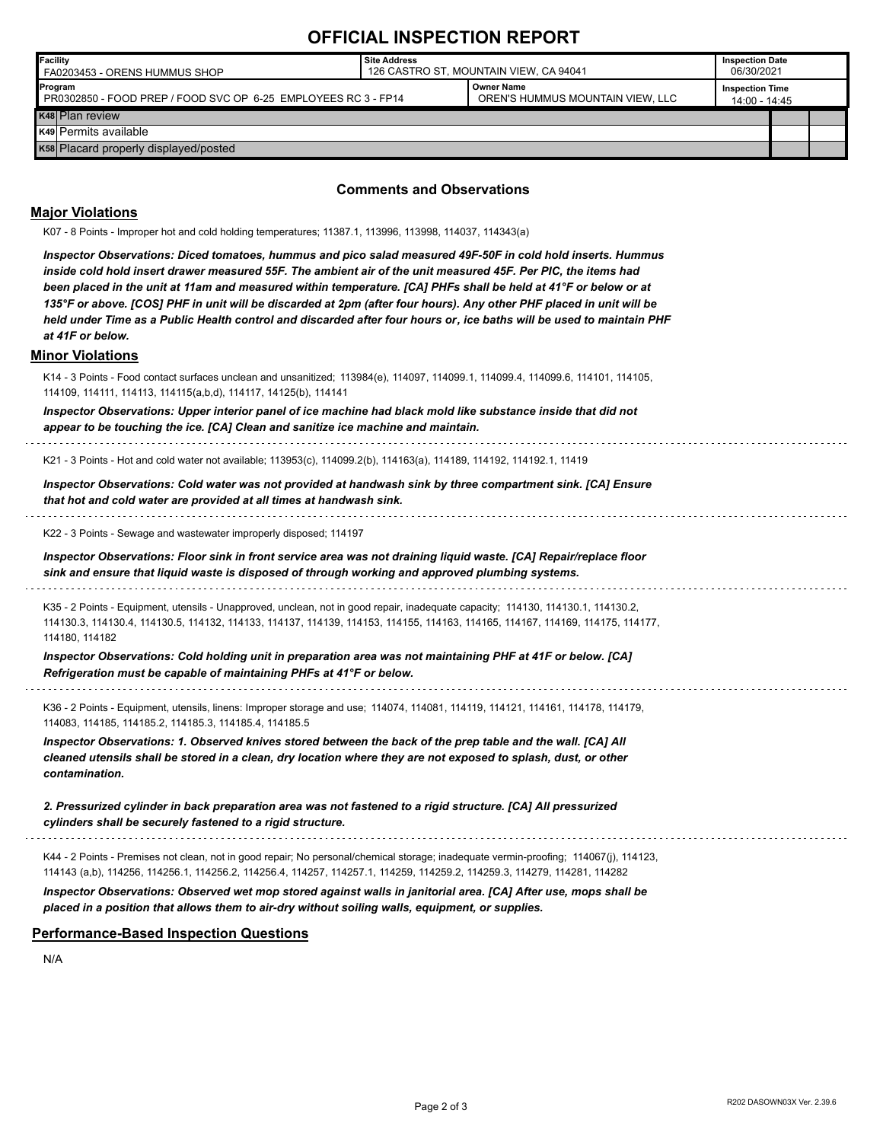# **OFFICIAL INSPECTION REPORT**

| Facility<br>FA0203453 - ORENS HUMMUS SHOP                                 | Site Address<br>126 CASTRO ST. MOUNTAIN VIEW. CA 94041 |                                                |                                         | <b>Inspection Date</b><br>06/30/2021 |  |
|---------------------------------------------------------------------------|--------------------------------------------------------|------------------------------------------------|-----------------------------------------|--------------------------------------|--|
| Program<br>PR0302850 - FOOD PREP / FOOD SVC OP 6-25 EMPLOYEES RC 3 - FP14 |                                                        | Owner Name<br>OREN'S HUMMUS MOUNTAIN VIEW, LLC | <b>Inspection Time</b><br>14:00 - 14:45 |                                      |  |
| K <sub>48</sub> Plan review                                               |                                                        |                                                |                                         |                                      |  |
| K49 Permits available                                                     |                                                        |                                                |                                         |                                      |  |
| K58 Placard properly displayed/posted                                     |                                                        |                                                |                                         |                                      |  |

#### **Comments and Observations**

### **Major Violations**

| K07 - 8 Points - Improper hot and cold holding temperatures; 11387.1, 113996, 113998, 114037, 114343(a)                                                                                                                                                                                                                                                                                                                                                                                                                                                                                                            |
|--------------------------------------------------------------------------------------------------------------------------------------------------------------------------------------------------------------------------------------------------------------------------------------------------------------------------------------------------------------------------------------------------------------------------------------------------------------------------------------------------------------------------------------------------------------------------------------------------------------------|
| Inspector Observations: Diced tomatoes, hummus and pico salad measured 49F-50F in cold hold inserts. Hummus<br>inside cold hold insert drawer measured 55F. The ambient air of the unit measured 45F. Per PIC, the items had<br>been placed in the unit at 11am and measured within temperature. [CA] PHFs shall be held at 41°F or below or at<br>135°F or above. [COS] PHF in unit will be discarded at 2pm (after four hours). Any other PHF placed in unit will be<br>held under Time as a Public Health control and discarded after four hours or, ice baths will be used to maintain PHF<br>at 41F or below. |
| <b>Minor Violations</b>                                                                                                                                                                                                                                                                                                                                                                                                                                                                                                                                                                                            |
| K14 - 3 Points - Food contact surfaces unclean and unsanitized; 113984(e), 114097, 114099.1, 114099.4, 114099.6, 114101, 114105,<br>114109, 114111, 114113, 114115(a,b,d), 114117, 14125(b), 114141                                                                                                                                                                                                                                                                                                                                                                                                                |
| Inspector Observations: Upper interior panel of ice machine had black mold like substance inside that did not<br>appear to be touching the ice. [CA] Clean and sanitize ice machine and maintain.                                                                                                                                                                                                                                                                                                                                                                                                                  |
| K21 - 3 Points - Hot and cold water not available; 113953(c), 114099.2(b), 114163(a), 114189, 114192, 114192.1, 11419                                                                                                                                                                                                                                                                                                                                                                                                                                                                                              |
| Inspector Observations: Cold water was not provided at handwash sink by three compartment sink. [CA] Ensure<br>that hot and cold water are provided at all times at handwash sink.                                                                                                                                                                                                                                                                                                                                                                                                                                 |
| K22 - 3 Points - Sewage and wastewater improperly disposed; 114197                                                                                                                                                                                                                                                                                                                                                                                                                                                                                                                                                 |
| Inspector Observations: Floor sink in front service area was not draining liquid waste. [CA] Repair/replace floor<br>sink and ensure that liquid waste is disposed of through working and approved plumbing systems.                                                                                                                                                                                                                                                                                                                                                                                               |
| K35 - 2 Points - Equipment, utensils - Unapproved, unclean, not in good repair, inadequate capacity; 114130, 114130.1, 114130.2,<br>114130.3, 114130.4, 114130.5, 114132, 114133, 114137, 114139, 114153, 114155, 114163, 114165, 114167, 114169, 114175, 114177,<br>114180, 114182                                                                                                                                                                                                                                                                                                                                |
| Inspector Observations: Cold holding unit in preparation area was not maintaining PHF at 41F or below. [CA]<br>Refrigeration must be capable of maintaining PHFs at 41°F or below.                                                                                                                                                                                                                                                                                                                                                                                                                                 |
| K36 - 2 Points - Equipment, utensils, linens: Improper storage and use; 114074, 114081, 114119, 114121, 114161, 114178, 114179,<br>114083, 114185, 114185.2, 114185.3, 114185.4, 114185.5                                                                                                                                                                                                                                                                                                                                                                                                                          |
| Inspector Observations: 1. Observed knives stored between the back of the prep table and the wall. [CA] All<br>cleaned utensils shall be stored in a clean, dry location where they are not exposed to splash, dust, or other<br>contamination.                                                                                                                                                                                                                                                                                                                                                                    |
| 2. Pressurized cylinder in back preparation area was not fastened to a rigid structure. [CA] All pressurized<br>cylinders shall be securely fastened to a rigid structure.                                                                                                                                                                                                                                                                                                                                                                                                                                         |
| K44 - 2 Points - Premises not clean, not in good repair; No personal/chemical storage; inadequate vermin-proofing; 114067(j), 114123,<br>114143 (a,b), 114256, 114256.1, 114256.2, 114256.4, 114257, 114257.1, 114259, 114259.2, 114259.3, 114279, 114281, 114282                                                                                                                                                                                                                                                                                                                                                  |
| Inspector Observations: Observed wet mop stored against walls in janitorial area. [CA] After use, mops shall be                                                                                                                                                                                                                                                                                                                                                                                                                                                                                                    |

*placed in a position that allows them to air-dry without soiling walls, equipment, or supplies.*

**Performance-Based Inspection Questions**

N/A